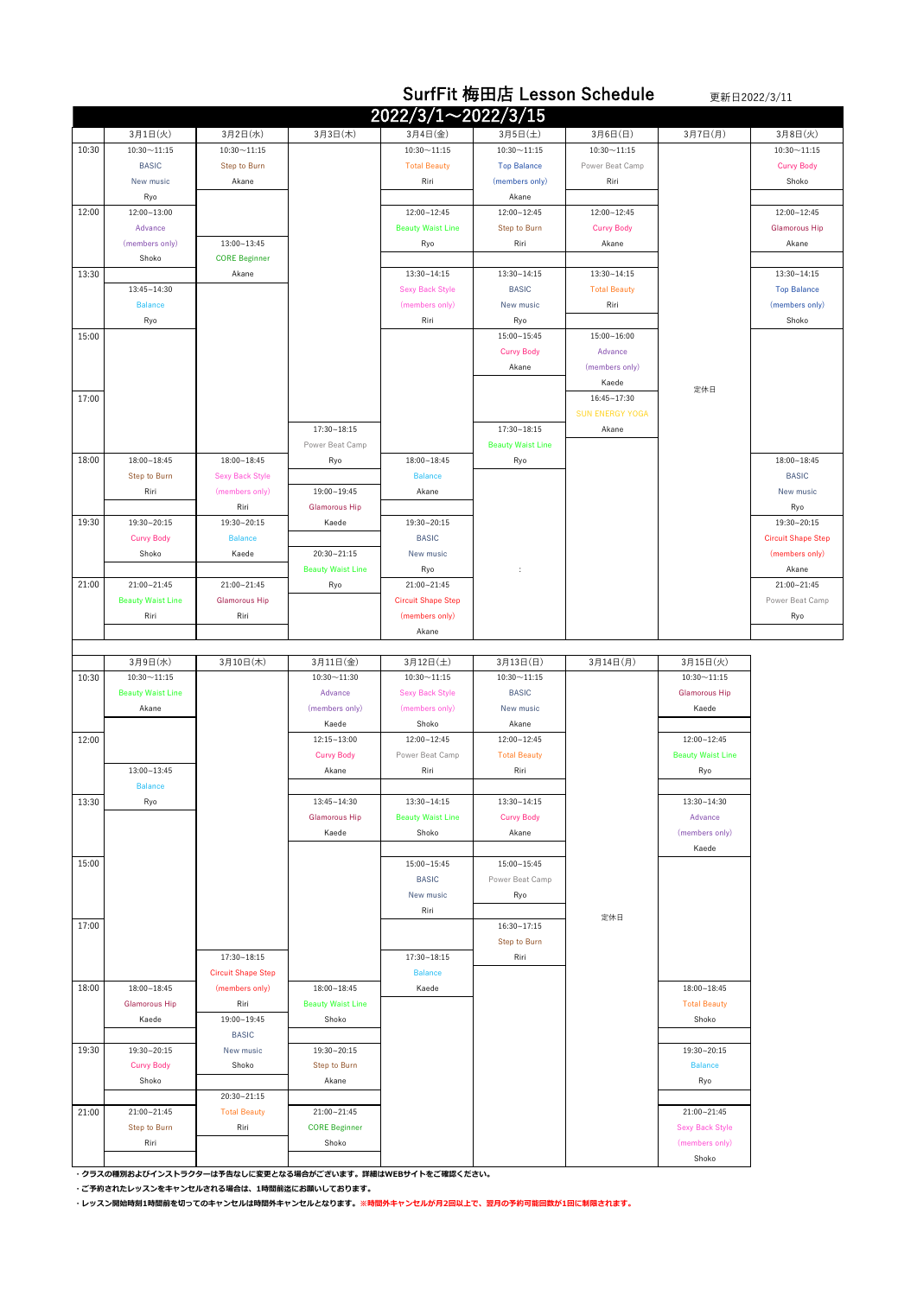|       |                          |                           | <b>SurfFit 梅田店 Lesson Schedule</b> |                             |                                |                         | 更新日2022/3/11             |                           |  |
|-------|--------------------------|---------------------------|------------------------------------|-----------------------------|--------------------------------|-------------------------|--------------------------|---------------------------|--|
|       |                          |                           |                                    | 2022/3/1~2022/3/15          |                                |                         |                          |                           |  |
|       | 3月1日(火)                  | 3月2日(水)                   | 3月3日(木)                            | 3月4日(金)                     | 3月5日(土)                        | 3月6日(日)                 | 3月7日(月)                  | 3月8日(火)                   |  |
| 10:30 | $10:30 - 11:15$          | $10:30 \sim 11:15$        |                                    | $10:30 - 11:15$             | $10:30 - 11:15$                | $10:30 - 11:15$         |                          | $10:30 - 11:15$           |  |
|       | <b>BASIC</b>             | Step to Burn              |                                    | <b>Total Beauty</b>         | <b>Top Balance</b>             | Power Beat Camp         |                          | <b>Curvy Body</b>         |  |
|       | New music                | Akane                     |                                    | Riri                        | (members only)                 | Riri                    |                          | Shoko                     |  |
|       | Ryo                      |                           |                                    |                             | Akane                          |                         |                          |                           |  |
| 12:00 | 12:00~13:00              |                           |                                    | 12:00~12:45                 | 12:00~12:45                    | 12:00~12:45             |                          | 12:00~12:45               |  |
|       | Advance                  |                           |                                    | <b>Beauty Waist Line</b>    | Step to Burn                   | <b>Curvy Body</b>       |                          | <b>Glamorous Hip</b>      |  |
|       | (members only)           | $13:00 - 13:45$           |                                    | Ryo                         | Riri                           | Akane                   |                          | Akane                     |  |
|       | Shoko                    | <b>CORE Beginner</b>      |                                    |                             |                                |                         |                          |                           |  |
| 13:30 |                          | Akane                     |                                    | $13:30 - 14:15$             | $13:30 - 14:15$                | $13:30 - 14:15$         |                          | $13:30 - 14:15$           |  |
|       | 13:45~14:30              |                           |                                    | <b>Sexy Back Style</b>      | <b>BASIC</b>                   | <b>Total Beauty</b>     |                          | <b>Top Balance</b>        |  |
|       | <b>Balance</b>           |                           |                                    | (members only)              | New music                      | Riri                    |                          | (members only)            |  |
|       | Ryo                      |                           |                                    | Riri                        | Ryo                            |                         |                          | Shoko                     |  |
| 15:00 |                          |                           |                                    |                             | 15:00~15:45                    | 15:00~16:00             |                          |                           |  |
|       |                          |                           |                                    |                             | <b>Curvy Body</b>              | Advance                 |                          |                           |  |
|       |                          |                           |                                    |                             | Akane                          | (members only)<br>Kaede |                          |                           |  |
| 17:00 |                          |                           |                                    |                             |                                | $16:45 - 17:30$         | 定休日                      |                           |  |
|       |                          |                           |                                    |                             |                                | <b>SUN ENERGY YOGA</b>  |                          |                           |  |
|       |                          |                           | $17:30 - 18:15$                    |                             | $17:30 - 18:15$                | Akane                   |                          |                           |  |
|       |                          |                           | Power Beat Camp                    |                             | <b>Beauty Waist Line</b>       |                         |                          |                           |  |
| 18:00 | $18:00 - 18:45$          | $18:00 - 18:45$           | Ryo                                | $18:00 - 18:45$             | Ryo                            |                         |                          | $18:00 - 18:45$           |  |
|       | Step to Burn             | <b>Sexy Back Style</b>    |                                    | <b>Balance</b>              |                                |                         |                          | <b>BASIC</b>              |  |
|       | Riri                     | (members only)            | 19:00~19:45                        | Akane                       |                                |                         |                          | New music                 |  |
|       |                          | Riri                      | <b>Glamorous Hip</b>               |                             |                                |                         |                          | Ryo                       |  |
| 19:30 | 19:30~20:15              | 19:30~20:15               | Kaede                              | 19:30~20:15                 |                                |                         |                          | 19:30~20:15               |  |
|       | <b>Curvy Body</b>        | <b>Balance</b>            |                                    | <b>BASIC</b>                |                                |                         |                          | <b>Circuit Shape Step</b> |  |
|       | Shoko                    | Kaede                     | 20:30~21:15                        | New music                   |                                |                         |                          | (members only)            |  |
|       |                          |                           | <b>Beauty Waist Line</b>           | Ryo                         | ÷                              |                         |                          | Akane                     |  |
| 21:00 | 21:00~21:45              | 21:00~21:45               | Ryo                                | 21:00~21:45                 |                                |                         |                          | 21:00~21:45               |  |
|       | <b>Beauty Waist Line</b> | <b>Glamorous Hip</b>      |                                    | <b>Circuit Shape Step</b>   |                                |                         |                          | Power Beat Camp           |  |
|       | Riri                     | Riri                      |                                    | (members only)              |                                |                         |                          | Ryo                       |  |
|       |                          |                           |                                    | Akane                       |                                |                         |                          |                           |  |
|       | 3月9日(水)                  | 3月10日(木)                  | 3月11日(金)                           | 3月12日(土)                    | 3月13日(日)                       | 3月14日(月)                | 3月15日(火)                 |                           |  |
| 10:30 | $10:30 - 11:15$          |                           | $10:30 - 11:30$                    | $10:30 \sim 11:15$          | $10:30 - 11:15$                |                         | $10:30 - 11:15$          |                           |  |
|       | <b>Beauty Waist Line</b> |                           | Advance                            | <b>Sexy Back Style</b>      | <b>BASIC</b>                   |                         | <b>Glamorous Hip</b>     |                           |  |
|       | Akane                    |                           | (members only)                     | (members only)              | New music                      |                         | Kaede                    |                           |  |
|       |                          |                           | Kaede                              | Shoko                       | Akane                          |                         |                          |                           |  |
| 12:00 |                          |                           | $12:15 - 13:00$                    | 12:00~12:45                 | 12:00~12:45                    |                         | 12:00~12:45              |                           |  |
|       |                          |                           | <b>Curvy Body</b>                  | Power Beat Camp             | <b>Total Beauty</b>            |                         | <b>Beauty Waist Line</b> |                           |  |
|       | 13:00~13:45              |                           | Akane                              | Riri                        | Riri                           |                         | Ryo                      |                           |  |
|       | <b>Balance</b>           |                           |                                    |                             |                                |                         |                          |                           |  |
| 13:30 | Ryo                      |                           | $13:45 - 14:30$                    | 13:30~14:15                 | 13:30~14:15                    |                         | 13:30~14:30              |                           |  |
|       |                          |                           | <b>Glamorous Hip</b>               | <b>Beauty Waist Line</b>    | <b>Curvy Body</b>              |                         | Advance                  |                           |  |
|       |                          |                           | Kaede                              | Shoko                       | Akane                          |                         | (members only)           |                           |  |
|       |                          |                           |                                    |                             |                                |                         | Kaede                    |                           |  |
| 15:00 |                          |                           |                                    | 15:00~15:45<br><b>BASIC</b> | 15:00~15:45<br>Power Beat Camp |                         |                          |                           |  |
|       |                          |                           |                                    | New music                   | Ryo                            |                         |                          |                           |  |
|       |                          |                           |                                    | Riri                        |                                |                         |                          |                           |  |
| 17:00 |                          |                           |                                    |                             | 16:30~17:15                    | 定休日                     |                          |                           |  |
|       |                          |                           |                                    |                             | Step to Burn                   |                         |                          |                           |  |
|       |                          | 17:30~18:15               |                                    | 17:30~18:15                 | Riri                           |                         |                          |                           |  |
|       |                          | <b>Circuit Shape Step</b> |                                    | <b>Balance</b>              |                                |                         |                          |                           |  |
| 18:00 | 18:00~18:45              | (members only)            | 18:00~18:45                        | Kaede                       |                                |                         | 18:00~18:45              |                           |  |
|       | <b>Glamorous Hip</b>     | Riri                      | <b>Beauty Waist Line</b>           |                             |                                |                         | <b>Total Beauty</b>      |                           |  |
|       | Kaede                    | 19:00~19:45               | Shoko                              |                             |                                |                         | Shoko                    |                           |  |
|       |                          | <b>BASIC</b>              |                                    |                             |                                |                         |                          |                           |  |
| 19:30 | 19:30~20:15              | New music                 | 19:30~20:15                        |                             |                                |                         | 19:30~20:15              |                           |  |
|       | <b>Curvy Body</b>        | Shoko                     | <b>Step to Burn</b>                |                             |                                |                         | <b>Balance</b>           |                           |  |
|       | Shoko                    |                           | Akane                              |                             |                                |                         | Ryo                      |                           |  |
|       |                          | 20:30~21:15               |                                    |                             |                                |                         |                          |                           |  |
| 21:00 | 21:00~21:45              | <b>Total Beauty</b>       | 21:00~21:45                        |                             |                                |                         | 21:00~21:45              |                           |  |
|       | <b>Step to Burn</b>      | Riri                      | <b>CORE Beginner</b>               |                             |                                |                         | <b>Sexy Back Style</b>   |                           |  |
|       | Riri                     |                           | Shoko                              |                             |                                |                         | (members only)           |                           |  |
|       |                          |                           |                                    |                             |                                |                         | Shoko                    |                           |  |

**・クラスの種別およびインストラクターは予告なしに変更となる場合がございます。詳細はWEBサイトをご確認ください。**

**・ご予約されたレッスンをキャンセルされる場合は、1時間前迄にお願いしております。**

**・レッスン開始時刻1時間前を切ってのキャンセルは時間外キャンセルとなります。※時間外キャンセルが月2回以上で、翌月の予約可能回数が1回に制限されます。**